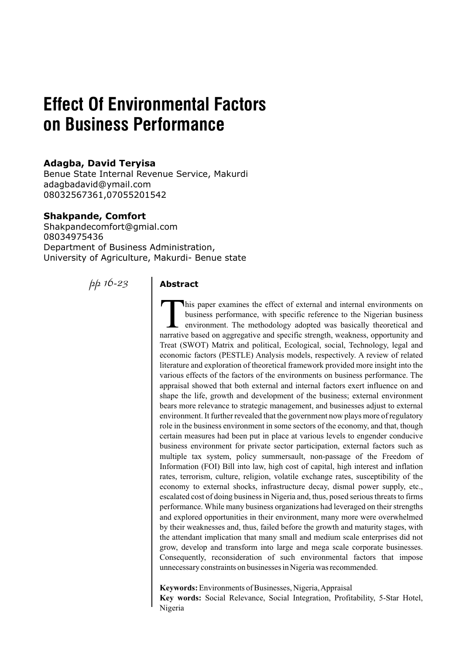# **Effect Of Environmental Factors on Business Performance**

# **Adagba, David Teryisa**

Benue State Internal Revenue Service, Makurdi adagbadavid@ymail.com 08032567361,07055201542

# **Shakpande, Comfort**

Shakpandecomfort@gmial.com 08034975436 Department of Business Administration, University of Agriculture, Makurdi- Benue state

*pp 16-23*

# **Abstract**

This paper examines the effect of external and internal environments on business performance, with specific reference to the Nigerian business environment. The methodology adopted was basically theoretical and narrative based on aggregative and specific strength, weakness, opportunity and Treat (SWOT) Matrix and political, Ecological, social, Technology, legal and economic factors (PESTLE) Analysis models, respectively. A review of related literature and exploration of theoretical framework provided more insight into the various effects of the factors of the environments on business performance. The appraisal showed that both external and internal factors exert influence on and shape the life, growth and development of the business; external environment bears more relevance to strategic management, and businesses adjust to external environment. It further revealed that the government now plays more of regulatory role in the business environment in some sectors of the economy, and that, though certain measures had been put in place at various levels to engender conducive business environment for private sector participation, external factors such as multiple tax system, policy summersault, non-passage of the Freedom of Information (FOI) Bill into law, high cost of capital, high interest and inflation rates, terrorism, culture, religion, volatile exchange rates, susceptibility of the economy to external shocks, infrastructure decay, dismal power supply, etc., escalated cost of doing business in Nigeria and, thus, posed serious threats to firms performance. While many business organizations had leveraged on their strengths and explored opportunities in their environment, many more were overwhelmed by their weaknesses and, thus, failed before the growth and maturity stages, with the attendant implication that many small and medium scale enterprises did not grow, develop and transform into large and mega scale corporate businesses. Consequently, reconsideration of such environmental factors that impose unnecessary constraints on businesses in Nigeria was recommended.

**Keywords:** Environments of Businesses, Nigeria, Appraisal **Key words:** Social Relevance, Social Integration, Profitability, 5-Star Hotel, Nigeria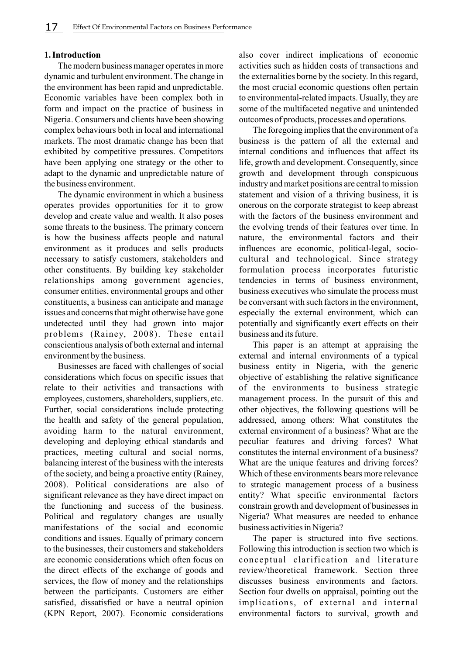#### **1. Introduction**

The modern business manager operates in more dynamic and turbulent environment. The change in the environment has been rapid and unpredictable. Economic variables have been complex both in form and impact on the practice of business in Nigeria. Consumers and clients have been showing complex behaviours both in local and international markets. The most dramatic change has been that exhibited by competitive pressures. Competitors have been applying one strategy or the other to adapt to the dynamic and unpredictable nature of the business environment.

The dynamic environment in which a business operates provides opportunities for it to grow develop and create value and wealth. It also poses some threats to the business. The primary concern is how the business affects people and natural environment as it produces and sells products necessary to satisfy customers, stakeholders and other constituents. By building key stakeholder relationships among government agencies, consumer entities, environmental groups and other constituents, a business can anticipate and manage issues and concerns that might otherwise have gone undetected until they had grown into major problems (Rainey, 2008). These entail conscientious analysis of both external and internal environment by the business.

Businesses are faced with challenges of social considerations which focus on specific issues that relate to their activities and transactions with employees, customers, shareholders, suppliers, etc. Further, social considerations include protecting the health and safety of the general population, avoiding harm to the natural environment, developing and deploying ethical standards and practices, meeting cultural and social norms, balancing interest of the business with the interests of the society, and being a proactive entity (Rainey, 2008). Political considerations are also of significant relevance as they have direct impact on the functioning and success of the business. Political and regulatory changes are usually manifestations of the social and economic conditions and issues. Equally of primary concern to the businesses, their customers and stakeholders are economic considerations which often focus on the direct effects of the exchange of goods and services, the flow of money and the relationships between the participants. Customers are either satisfied, dissatisfied or have a neutral opinion (KPN Report, 2007). Economic considerations

also cover indirect implications of economic activities such as hidden costs of transactions and the externalities borne by the society. In this regard, the most crucial economic questions often pertain to environmental-related impacts. Usually, they are some of the multifaceted negative and unintended outcomes of products, processes and operations.

The foregoing implies that the environment of a business is the pattern of all the external and internal conditions and influences that affect its life, growth and development. Consequently, since growth and development through conspicuous industry and market positions are central to mission statement and vision of a thriving business, it is onerous on the corporate strategist to keep abreast with the factors of the business environment and the evolving trends of their features over time. In nature, the environmental factors and their influences are economic, political-legal, sociocultural and technological. Since strategy formulation process incorporates futuristic tendencies in terms of business environment, business executives who simulate the process must be conversant with such factors in the environment, especially the external environment, which can potentially and significantly exert effects on their business and its future.

This paper is an attempt at appraising the external and internal environments of a typical business entity in Nigeria, with the generic objective of establishing the relative significance of the environments to business strategic management process. In the pursuit of this and other objectives, the following questions will be addressed, among others: What constitutes the external environment of a business? What are the peculiar features and driving forces? What constitutes the internal environment of a business? What are the unique features and driving forces? Which of these environments bears more relevance to strategic management process of a business entity? What specific environmental factors constrain growth and development of businesses in Nigeria? What measures are needed to enhance business activities in Nigeria?

The paper is structured into five sections. Following this introduction is section two which is conceptual clarification and literature review/theoretical framework. Section three discusses business environments and factors. Section four dwells on appraisal, pointing out the implications, of external and internal environmental factors to survival, growth and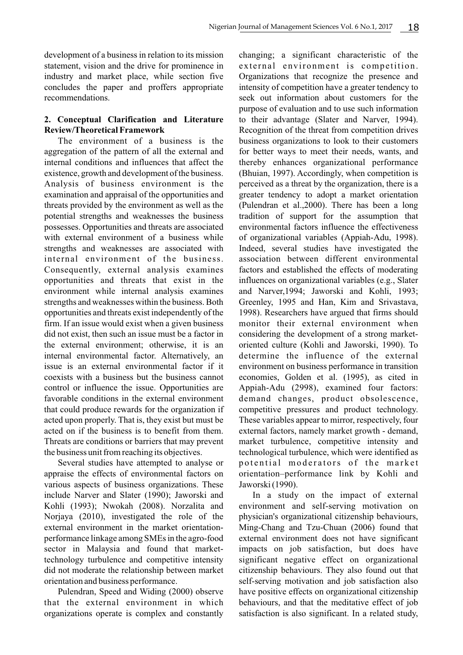development of a business in relation to its mission statement, vision and the drive for prominence in industry and market place, while section five concludes the paper and proffers appropriate recommendations.

# **2. Conceptual Clarification and Literature Review/Theoretical Framework**

The environment of a business is the aggregation of the pattern of all the external and internal conditions and influences that affect the existence, growth and development of the business. Analysis of business environment is the examination and appraisal of the opportunities and threats provided by the environment as well as the potential strengths and weaknesses the business possesses. Opportunities and threats are associated with external environment of a business while strengths and weaknesses are associated with internal environment of the business. Consequently, external analysis examines opportunities and threats that exist in the environment while internal analysis examines strengths and weaknesses within the business. Both opportunities and threats exist independently of the firm. If an issue would exist when a given business did not exist, then such an issue must be a factor in the external environment; otherwise, it is an internal environmental factor. Alternatively, an issue is an external environmental factor if it coexists with a business but the business cannot control or influence the issue. Opportunities are favorable conditions in the external environment that could produce rewards for the organization if acted upon properly. That is, they exist but must be acted on if the business is to benefit from them. Threats are conditions or barriers that may prevent the business unit from reaching its objectives.

Several studies have attempted to analyse or appraise the effects of environmental factors on various aspects of business organizations. These include Narver and Slater (1990); Jaworski and Kohli (1993); Nwokah (2008). Norzalita and Norjaya (2010), investigated the role of the external environment in the market orientationperformance linkage among SMEs in the agro-food sector in Malaysia and found that markettechnology turbulence and competitive intensity did not moderate the relationship between market orientation and business performance.

Pulendran, Speed and Widing (2000) observe that the external environment in which organizations operate is complex and constantly

changing; a significant characteristic of the external environment is competition. Organizations that recognize the presence and intensity of competition have a greater tendency to seek out information about customers for the purpose of evaluation and to use such information to their advantage (Slater and Narver, 1994). Recognition of the threat from competition drives business organizations to look to their customers for better ways to meet their needs, wants, and thereby enhances organizational performance (Bhuian, 1997). Accordingly, when competition is perceived as a threat by the organization, there is a greater tendency to adopt a market orientation (Pulendran et al.,2000). There has been a long tradition of support for the assumption that environmental factors influence the effectiveness of organizational variables (Appiah-Adu, 1998). Indeed, several studies have investigated the association between different environmental factors and established the effects of moderating influences on organizational variables (e.g., Slater and Narver,1994; Jaworski and Kohli, 1993; Greenley, 1995 and Han, Kim and Srivastava, 1998). Researchers have argued that firms should monitor their external environment when considering the development of a strong marketoriented culture (Kohli and Jaworski, 1990). To determine the influence of the external environment on business performance in transition economies, Golden et al. (1995), as cited in Appiah-Adu (2998), examined four factors: demand changes, product obsolescence, competitive pressures and product technology. These variables appear to mirror, respectively, four external factors, namely market growth - demand, market turbulence, competitive intensity and technological turbulence, which were identified as potential moderators of the market orientation–performance link by Kohli and Jaworski (1990).

In a study on the impact of external environment and self-serving motivation on physician's organizational citizenship behaviours, Ming-Chang and Tzu-Chuan (2006) found that external environment does not have significant impacts on job satisfaction, but does have significant negative effect on organizational citizenship behaviours. They also found out that self-serving motivation and job satisfaction also have positive effects on organizational citizenship behaviours, and that the meditative effect of job satisfaction is also significant. In a related study,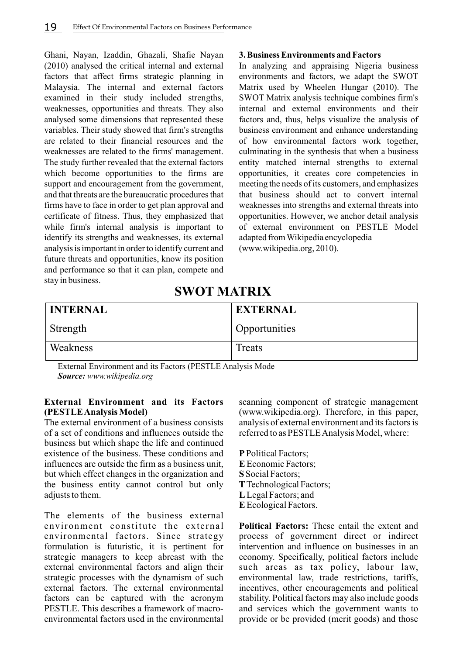Ghani, Nayan, Izaddin, Ghazali, Shafie Nayan (2010) analysed the critical internal and external factors that affect firms strategic planning in Malaysia. The internal and external factors examined in their study included strengths, weaknesses, opportunities and threats. They also analysed some dimensions that represented these variables. Their study showed that firm's strengths are related to their financial resources and the weaknesses are related to the firms' management. The study further revealed that the external factors which become opportunities to the firms are support and encouragement from the government, and that threats are the bureaucratic procedures that firms have to face in order to get plan approval and certificate of fitness. Thus, they emphasized that while firm's internal analysis is important to identify its strengths and weaknesses, its external analysis is important in order to identify current and future threats and opportunities, know its position and performance so that it can plan, compete and stay in business.

#### **3. Business Environments and Factors**

In analyzing and appraising Nigeria business environments and factors, we adapt the SWOT Matrix used by Wheelen Hungar (2010). The SWOT Matrix analysis technique combines firm's internal and external environments and their factors and, thus, helps visualize the analysis of business environment and enhance understanding of how environmental factors work together, culminating in the synthesis that when a business entity matched internal strengths to external opportunities, it creates core competencies in meeting the needs of its customers, and emphasizes that business should act to convert internal weaknesses into strengths and external threats into opportunities. However, we anchor detail analysis of external environment on PESTLE Model adapted from Wikipedia encyclopedia (www.wikipedia.org, 2010).

# **SWOT MATRIX**

| <b>INTERNAL</b> | <b>EXTERNAL</b>            |
|-----------------|----------------------------|
| Strength        | <sup>1</sup> Opportunities |
| Weakness        | Treats                     |

External Environment and its Factors (PESTLE Analysis Mode *Source: www.wikipedia.org*

# **External Environment and its Factors (PESTLE Analysis Model)**

The external environment of a business consists of a set of conditions and influences outside the business but which shape the life and continued existence of the business. These conditions and influences are outside the firm as a business unit, but which effect changes in the organization and the business entity cannot control but only adjusts to them.

The elements of the business external environment constitute the external environmental factors. Since strategy formulation is futuristic, it is pertinent for strategic managers to keep abreast with the external environmental factors and align their strategic processes with the dynamism of such external factors. The external environmental factors can be captured with the acronym PESTLE. This describes a framework of macroenvironmental factors used in the environmental

scanning component of strategic management (www.wikipedia.org). Therefore, in this paper, analysis of external environment and its factors is referred to as PESTLE Analysis Model, where:

**P**Political Factors; **E** Economic Factors; **S** Social Factors; **T**Technological Factors; **L**Legal Factors; and **E**Ecological Factors.

**Political Factors:** These entail the extent and process of government direct or indirect intervention and influence on businesses in an economy. Specifically, political factors include such areas as tax policy, labour law, environmental law, trade restrictions, tariffs, incentives, other encouragements and political stability. Political factors may also include goods and services which the government wants to provide or be provided (merit goods) and those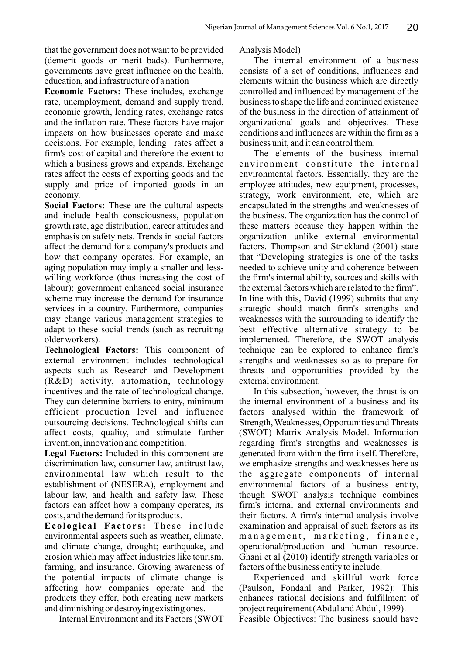that the government does not want to be provided (demerit goods or merit bads). Furthermore, governments have great influence on the health, education, and infrastructure of a nation

**Economic Factors:** These includes, exchange rate, unemployment, demand and supply trend, economic growth, lending rates, exchange rates and the inflation rate. These factors have major impacts on how businesses operate and make decisions. For example, lending rates affect a firm's cost of capital and therefore the extent to which a business grows and expands. Exchange rates affect the costs of exporting goods and the supply and price of imported goods in an economy.

**Social Factors:** These are the cultural aspects and include health consciousness, population growth rate, age distribution, career attitudes and emphasis on safety nets. Trends in social factors affect the demand for a company's products and how that company operates. For example, an aging population may imply a smaller and lesswilling workforce (thus increasing the cost of labour); government enhanced social insurance scheme may increase the demand for insurance services in a country. Furthermore, companies may change various management strategies to adapt to these social trends (such as recruiting older workers).

**Technological Factors:** This component of external environment includes technological aspects such as Research and Development (R&D) activity, automation, technology incentives and the rate of technological change. They can determine barriers to entry, minimum efficient production level and influence outsourcing decisions. Technological shifts can affect costs, quality, and stimulate further invention, innovation and competition.

**Legal Factors:** Included in this component are discrimination law, consumer law, antitrust law, environmental law which result to the establishment of (NESERA), employment and labour law, and health and safety law. These factors can affect how a company operates, its costs, and the demand for its products.

**Ec o l o g i c a l Fa c t o r s:** Th e s e i n c l u d e environmental aspects such as weather, climate, and climate change, drought; earthquake, and erosion which may affect industries like tourism, farming, and insurance. Growing awareness of the potential impacts of climate change is affecting how companies operate and the products they offer, both creating new markets and diminishing or destroying existing ones.

Internal Environment and its Factors (SWOT

Analysis Model)

The internal environment of a business consists of a set of conditions, influences and elements within the business which are directly controlled and influenced by management of the business to shape the life and continued existence of the business in the direction of attainment of organizational goals and objectives. These conditions and influences are within the firm as a business unit, and it can control them.

The elements of the business internal environment constitute the internal environmental factors. Essentially, they are the employee attitudes, new equipment, processes, strategy, work environment, etc, which are encapsulated in the strengths and weaknesses of the business. The organization has the control of these matters because they happen within the organization unlike external environmental factors. Thompson and Strickland (2001) state that "Developing strategies is one of the tasks needed to achieve unity and coherence between the firm's internal ability, sources and skills with the external factors which are related to the firm". In line with this, David (1999) submits that any strategic should match firm's strengths and weaknesses with the surrounding to identify the best effective alternative strategy to be implemented. Therefore, the SWOT analysis technique can be explored to enhance firm's strengths and weaknesses so as to prepare for threats and opportunities provided by the external environment.

In this subsection, however, the thrust is on the internal environment of a business and its factors analysed within the framework of Strength, Weaknesses, Opportunities and Threats (SWOT) Matrix Analysis Model. Information regarding firm's strengths and weaknesses is generated from within the firm itself. Therefore, we emphasize strengths and weaknesses here as the aggregate components of internal environmental factors of a business entity, though SWOT analysis technique combines firm's internal and external environments and their factors. A firm's internal analysis involve examination and appraisal of such factors as its management, marketing, finance, operational/production and human resource. Ghani et al (2010) identify strength variables or factors of the business entity to include:

Experienced and skillful work force (Paulson, Fondahl and Parker, 1992): This enhances rational decisions and fulfillment of project requirement (Abdul and Abdul, 1999).

Feasible Objectives: The business should have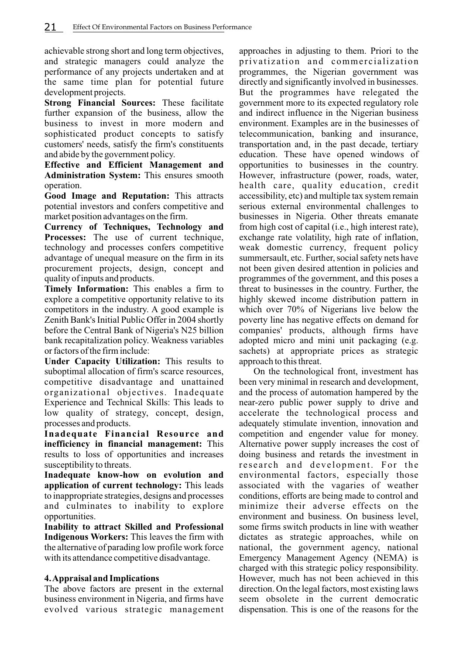achievable strong short and long term objectives, and strategic managers could analyze the performance of any projects undertaken and at the same time plan for potential future development projects.

**Strong Financial Sources:** These facilitate further expansion of the business, allow the business to invest in more modern and sophisticated product concepts to satisfy customers' needs, satisfy the firm's constituents and abide by the government policy.

**Effective and Efficient Management and Administration System:** This ensures smooth operation.

**Good Image and Reputation:** This attracts potential investors and confers competitive and market position advantages on the firm.

**Currency of Techniques, Technology and Processes:** The use of current technique, technology and processes confers competitive advantage of unequal measure on the firm in its procurement projects, design, concept and quality of inputs and products.

**Timely Information:** This enables a firm to explore a competitive opportunity relative to its competitors in the industry. A good example is Zenith Bank's Initial Public Offer in 2004 shortly before the Central Bank of Nigeria's N25 billion bank recapitalization policy. Weakness variables or factors of the firm include:

**Under Capacity Utilization:** This results to suboptimal allocation of firm's scarce resources, competitive disadvantage and unattained organizational objectives. Inadequate Experience and Technical Skills: This leads to low quality of strategy, concept, design, processes and products.

**Inadequate Financial Resource and inefficiency in financial management:** This results to loss of opportunities and increases susceptibility to threats.

**Inadequate know-how on evolution and application of current technology:** This leads to inappropriate strategies, designs and processes and culminates to inability to explore opportunities.

**Inability to attract Skilled and Professional Indigenous Workers:** This leaves the firm with the alternative of parading low profile work force with its attendance competitive disadvantage.

# **4. Appraisal and Implications**

The above factors are present in the external business environment in Nigeria, and firms have evolved various strategic management approaches in adjusting to them. Priori to the privatization and commercialization programmes, the Nigerian government was directly and significantly involved in businesses. But the programmes have relegated the government more to its expected regulatory role and indirect influence in the Nigerian business environment. Examples are in the businesses of telecommunication, banking and insurance, transportation and, in the past decade, tertiary education. These have opened windows of opportunities to businesses in the country. However, infrastructure (power, roads, water, health care, quality education, credit accessibility, etc) and multiple tax system remain serious external environmental challenges to businesses in Nigeria. Other threats emanate from high cost of capital (i.e., high interest rate), exchange rate volatility, high rate of inflation, weak domestic currency, frequent policy summersault, etc. Further, social safety nets have not been given desired attention in policies and programmes of the government, and this poses a threat to businesses in the country. Further, the highly skewed income distribution pattern in which over 70% of Nigerians live below the poverty line has negative effects on demand for companies' products, although firms have adopted micro and mini unit packaging (e.g. sachets) at appropriate prices as strategic approach to this threat.

On the technological front, investment has been very minimal in research and development, and the process of automation hampered by the near-zero public power supply to drive and accelerate the technological process and adequately stimulate invention, innovation and competition and engender value for money. Alternative power supply increases the cost of doing business and retards the investment in research and development. For the environmental factors, especially those associated with the vagaries of weather conditions, efforts are being made to control and minimize their adverse effects on the environment and business. On business level, some firms switch products in line with weather dictates as strategic approaches, while on national, the government agency, national Emergency Management Agency (NEMA) is charged with this strategic policy responsibility. However, much has not been achieved in this direction. On the legal factors, most existing laws seem obsolete in the current democratic dispensation. This is one of the reasons for the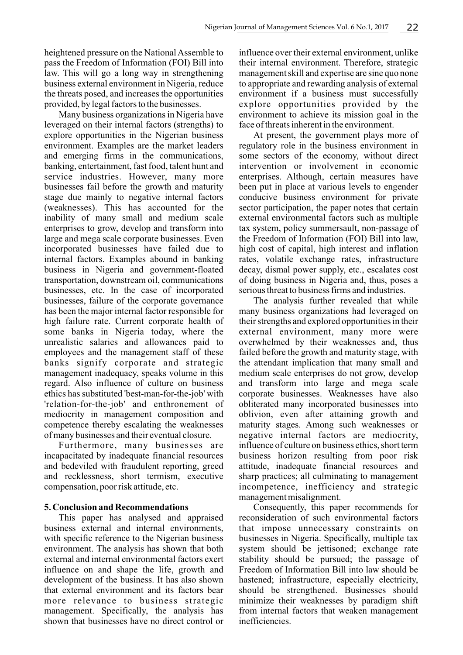heightened pressure on the National Assemble to pass the Freedom of Information (FOI) Bill into law. This will go a long way in strengthening business external environment in Nigeria, reduce the threats posed, and increases the opportunities provided, by legal factors to the businesses.

Many business organizations in Nigeria have leveraged on their internal factors (strengths) to explore opportunities in the Nigerian business environment. Examples are the market leaders and emerging firms in the communications, banking, entertainment, fast food, talent hunt and service industries. However, many more businesses fail before the growth and maturity stage due mainly to negative internal factors (weaknesses). This has accounted for the inability of many small and medium scale enterprises to grow, develop and transform into large and mega scale corporate businesses. Even incorporated businesses have failed due to internal factors. Examples abound in banking business in Nigeria and government-floated transportation, downstream oil, communications businesses, etc. In the case of incorporated businesses, failure of the corporate governance has been the major internal factor responsible for high failure rate. Current corporate health of some banks in Nigeria today, where the unrealistic salaries and allowances paid to employees and the management staff of these banks signify corporate and strategic management inadequacy, speaks volume in this regard. Also influence of culture on business ethics has substituted 'best-man-for-the-job' with 'relation-for-the-job' and enthronement of mediocrity in management composition and competence thereby escalating the weaknesses of many businesses and their eventual closure.

Furthermore, many businesses are incapacitated by inadequate financial resources and bedeviled with fraudulent reporting, greed and recklessness, short termism, executive compensation, poor risk attitude, etc.

# **5. Conclusion and Recommendations**

This paper has analysed and appraised business external and internal environments, with specific reference to the Nigerian business environment. The analysis has shown that both external and internal environmental factors exert influence on and shape the life, growth and development of the business. It has also shown that external environment and its factors bear more relevance to business strategic management. Specifically, the analysis has shown that businesses have no direct control or

influence over their external environment, unlike their internal environment. Therefore, strategic management skill and expertise are sine quo none to appropriate and rewarding analysis of external environment if a business must successfully explore opportunities provided by the environment to achieve its mission goal in the face of threats inherent in the environment.

At present, the government plays more of regulatory role in the business environment in some sectors of the economy, without direct intervention or involvement in economic enterprises. Although, certain measures have been put in place at various levels to engender conducive business environment for private sector participation, the paper notes that certain external environmental factors such as multiple tax system, policy summersault, non-passage of the Freedom of Information (FOI) Bill into law, high cost of capital, high interest and inflation rates, volatile exchange rates, infrastructure decay, dismal power supply, etc., escalates cost of doing business in Nigeria and, thus, poses a serious threat to business firms and industries.

The analysis further revealed that while many business organizations had leveraged on their strengths and explored opportunities in their external environment, many more were overwhelmed by their weaknesses and, thus failed before the growth and maturity stage, with the attendant implication that many small and medium scale enterprises do not grow, develop and transform into large and mega scale corporate businesses. Weaknesses have also obliterated many incorporated businesses into oblivion, even after attaining growth and maturity stages. Among such weaknesses or negative internal factors are mediocrity, influence of culture on business ethics, short term business horizon resulting from poor risk attitude, inadequate financial resources and sharp practices; all culminating to management incompetence, inefficiency and strategic management misalignment.

Consequently, this paper recommends for reconsideration of such environmental factors that impose unnecessary constraints on businesses in Nigeria. Specifically, multiple tax system should be jettisoned; exchange rate stability should be pursued; the passage of Freedom of Information Bill into law should be hastened; infrastructure, especially electricity, should be strengthened. Businesses should minimize their weaknesses by paradigm shift from internal factors that weaken management inefficiencies.